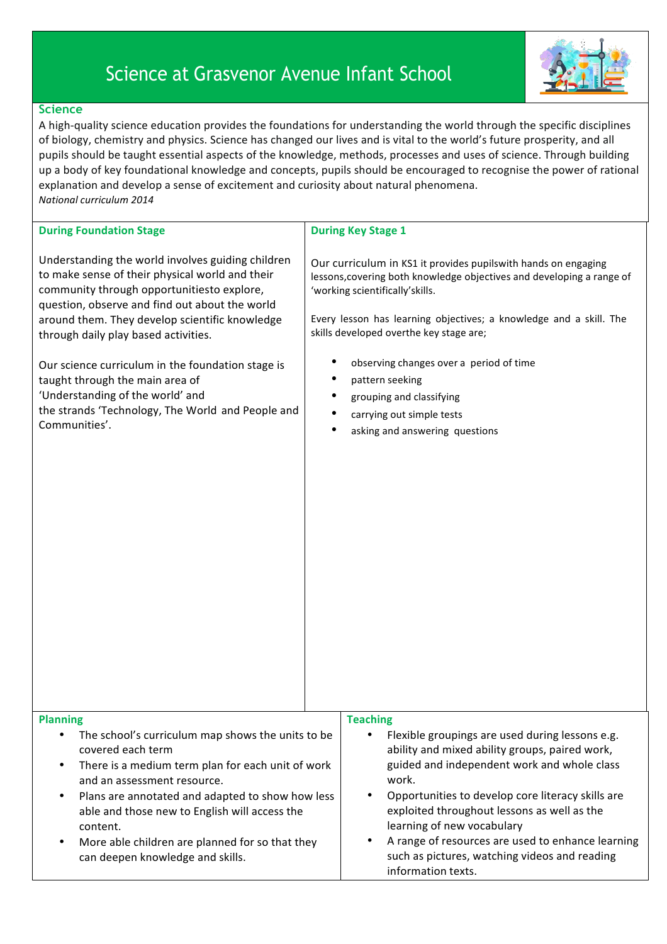## Science at Grasvenor Avenue Infant School



## **Science**

A high-quality science education provides the foundations for understanding the world through the specific disciplines of biology, chemistry and physics. Science has changed our lives and is vital to the world's future prosperity, and all pupils should be taught essential aspects of the knowledge, methods, processes and uses of science. Through building up a body of key foundational knowledge and concepts, pupils should be encouraged to recognise the power of rational explanation and develop a sense of excitement and curiosity about natural phenomena. *National curriculum 2014*

| <b>During Foundation Stage</b>                                                                                                                                                                                                                                                                                                                                                                                                                                                                   | <b>During Key Stage 1</b>                                                                                                                                                                                                                                                                                                                                                                                                                                                                |
|--------------------------------------------------------------------------------------------------------------------------------------------------------------------------------------------------------------------------------------------------------------------------------------------------------------------------------------------------------------------------------------------------------------------------------------------------------------------------------------------------|------------------------------------------------------------------------------------------------------------------------------------------------------------------------------------------------------------------------------------------------------------------------------------------------------------------------------------------------------------------------------------------------------------------------------------------------------------------------------------------|
| Understanding the world involves guiding children<br>to make sense of their physical world and their<br>community through opportunitiesto explore,<br>question, observe and find out about the world<br>around them. They develop scientific knowledge<br>through daily play based activities.<br>Our science curriculum in the foundation stage is<br>taught through the main area of<br>'Understanding of the world' and<br>the strands 'Technology, The World and People and<br>Communities'. | Our curriculum in KS1 it provides pupilswith hands on engaging<br>lessons, covering both knowledge objectives and developing a range of<br>'working scientifically'skills.<br>Every lesson has learning objectives; a knowledge and a skill. The<br>skills developed overthe key stage are;<br>observing changes over a period of time<br>pattern seeking<br>$\bullet$<br>٠<br>grouping and classifying<br>$\bullet$<br>carrying out simple tests<br>٠<br>asking and answering questions |
|                                                                                                                                                                                                                                                                                                                                                                                                                                                                                                  |                                                                                                                                                                                                                                                                                                                                                                                                                                                                                          |
| <b>Planning</b><br>The school's curriculum map shows the units to be<br>$\bullet$<br>covered each term<br>There is a medium term plan for each unit of work<br>$\bullet$<br>and an assessment resource.<br>Plans are annotated and adapted to show how less<br>$\bullet$<br>able and those new to English will access the<br>content.<br>More able children are planned for so that they<br>$\bullet$<br>can deepen knowledge and skills.                                                        | <b>Teaching</b><br>Flexible groupings are used during lessons e.g.<br>ability and mixed ability groups, paired work,<br>guided and independent work and whole class<br>work.<br>Opportunities to develop core literacy skills are<br>$\bullet$<br>exploited throughout lessons as well as the<br>learning of new vocabulary<br>A range of resources are used to enhance learning<br>such as pictures, watching videos and reading<br>information texts.                                  |